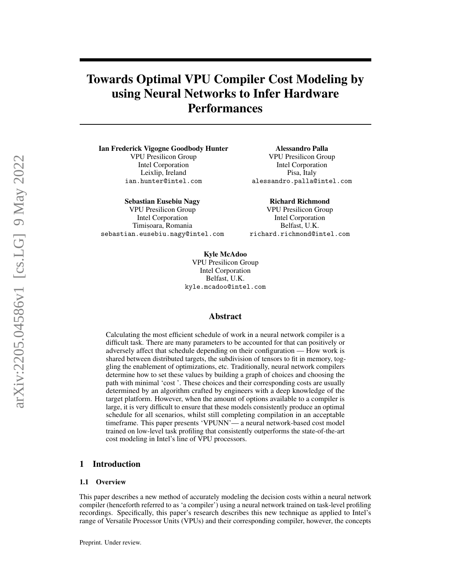# Towards Optimal VPU Compiler Cost Modeling by using Neural Networks to Infer Hardware **Performances**

Ian Frederick Vigogne Goodbody Hunter VPU Presilicon Group Intel Corporation Leixlip, Ireland ian.hunter@intel.com

Sebastian Eusebiu Nagy VPU Presilicon Group Intel Corporation Timișoara, Romania sebastian.eusebiu.nagy@intel.com

Alessandro Palla VPU Presilicon Group Intel Corporation Pisa, Italy alessandro.palla@intel.com

Richard Richmond VPU Presilicon Group Intel Corporation Belfast, U.K. richard.richmond@intel.com

Kyle McAdoo VPU Presilicon Group Intel Corporation Belfast, U.K. kyle.mcadoo@intel.com

## Abstract

Calculating the most efficient schedule of work in a neural network compiler is a difficult task. There are many parameters to be accounted for that can positively or adversely affect that schedule depending on their configuration — How work is shared between distributed targets, the subdivision of tensors to fit in memory, toggling the enablement of optimizations, etc. Traditionally, neural network compilers determine how to set these values by building a graph of choices and choosing the path with minimal 'cost '. These choices and their corresponding costs are usually determined by an algorithm crafted by engineers with a deep knowledge of the target platform. However, when the amount of options available to a compiler is large, it is very difficult to ensure that these models consistently produce an optimal schedule for all scenarios, whilst still completing compilation in an acceptable timeframe. This paper presents 'VPUNN'— a neural network-based cost model trained on low-level task profiling that consistently outperforms the state-of-the-art cost modeling in Intel's line of VPU processors.

## 1 Introduction

#### 1.1 Overview

This paper describes a new method of accurately modeling the decision costs within a neural network compiler (henceforth referred to as 'a compiler') using a neural network trained on task-level profiling recordings. Specifically, this paper's research describes this new technique as applied to Intel's range of Versatile Processor Units (VPUs) and their corresponding compiler, however, the concepts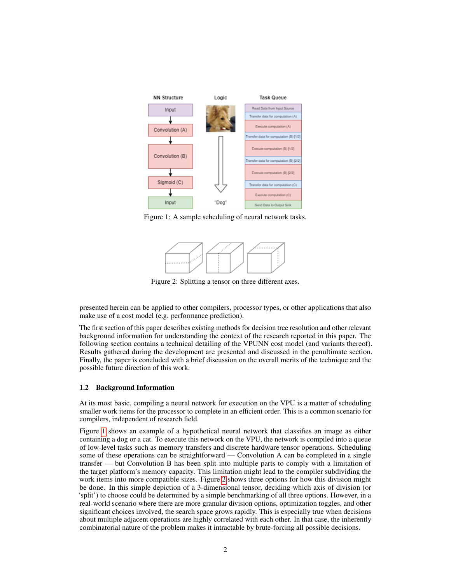<span id="page-1-0"></span>

<span id="page-1-1"></span>Figure 1: A sample scheduling of neural network tasks.



Figure 2: Splitting a tensor on three different axes.

presented herein can be applied to other compilers, processor types, or other applications that also make use of a cost model (e.g. performance prediction).

The first section of this paper describes existing methods for decision tree resolution and other relevant background information for understanding the context of the research reported in this paper. The following section contains a technical detailing of the VPUNN cost model (and variants thereof). Results gathered during the development are presented and discussed in the penultimate section. Finally, the paper is concluded with a brief discussion on the overall merits of the technique and the possible future direction of this work.

# <span id="page-1-2"></span>1.2 Background Information

At its most basic, compiling a neural network for execution on the VPU is a matter of scheduling smaller work items for the processor to complete in an efficient order. This is a common scenario for compilers, independent of research field.

Figure [1](#page-1-0) shows an example of a hypothetical neural network that classifies an image as either containing a dog or a cat. To execute this network on the VPU, the network is compiled into a queue of low-level tasks such as memory transfers and discrete hardware tensor operations. Scheduling some of these operations can be straightforward — Convolution A can be completed in a single transfer — but Convolution B has been split into multiple parts to comply with a limitation of the target platform's memory capacity. This limitation might lead to the compiler subdividing the work items into more compatible sizes. Figure [2](#page-1-1) shows three options for how this division might be done. In this simple depiction of a 3-dimensional tensor, deciding which axis of division (or 'split') to choose could be determined by a simple benchmarking of all three options. However, in a real-world scenario where there are more granular division options, optimization toggles, and other significant choices involved, the search space grows rapidly. This is especially true when decisions about multiple adjacent operations are highly correlated with each other. In that case, the inherently combinatorial nature of the problem makes it intractable by brute-forcing all possible decisions.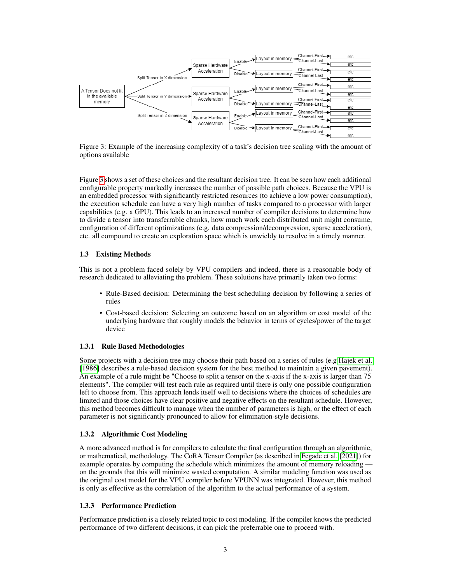<span id="page-2-0"></span>

Figure 3: Example of the increasing complexity of a task's decision tree scaling with the amount of options available

Figure [3](#page-2-0) shows a set of these choices and the resultant decision tree. It can be seen how each additional configurable property markedly increases the number of possible path choices. Because the VPU is an embedded processor with significantly restricted resources (to achieve a low power consumption), the execution schedule can have a very high number of tasks compared to a processor with larger capabilities (e.g. a GPU). This leads to an increased number of compiler decisions to determine how to divide a tensor into transferrable chunks, how much work each distributed unit might consume, configuration of different optimizations (e.g. data compression/decompression, sparse acceleration), etc. all compound to create an exploration space which is unwieldy to resolve in a timely manner.

## 1.3 Existing Methods

This is not a problem faced solely by VPU compilers and indeed, there is a reasonable body of research dedicated to alleviating the problem. These solutions have primarily taken two forms:

- Rule-Based decision: Determining the best scheduling decision by following a series of rules
- Cost-based decision: Selecting an outcome based on an algorithm or cost model of the underlying hardware that roughly models the behavior in terms of cycles/power of the target device

## 1.3.1 Rule Based Methodologies

Some projects with a decision tree may choose their path based on a series of rules (e.g [Hajek et al.](#page-9-0) [\[1986\]](#page-9-0) describes a rule-based decision system for the best method to maintain a given pavement). An example of a rule might be "Choose to split a tensor on the x-axis if the x-axis is larger than 75 elements". The compiler will test each rule as required until there is only one possible configuration left to choose from. This approach lends itself well to decisions where the choices of schedules are limited and those choices have clear positive and negative effects on the resultant schedule. However, this method becomes difficult to manage when the number of parameters is high, or the effect of each parameter is not significantly pronounced to allow for elimination-style decisions.

## 1.3.2 Algorithmic Cost Modeling

A more advanced method is for compilers to calculate the final configuration through an algorithmic, or mathematical, methodology. The CoRA Tensor Compiler (as described in [Fegade et al.](#page-8-0) [\[2021\]](#page-8-0)) for example operates by computing the schedule which minimizes the amount of memory reloading on the grounds that this will minimize wasted computation. A similar modeling function was used as the original cost model for the VPU compiler before VPUNN was integrated. However, this method is only as effective as the correlation of the algorithm to the actual performance of a system.

## 1.3.3 Performance Prediction

Performance prediction is a closely related topic to cost modeling. If the compiler knows the predicted performance of two different decisions, it can pick the preferrable one to proceed with.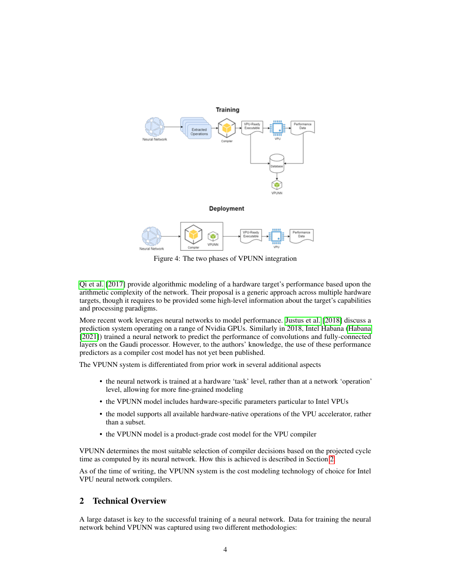<span id="page-3-1"></span>

Figure 4: The two phases of VPUNN integration

[Qi et al.](#page-9-1) [\[2017\]](#page-9-1) provide algorithmic modeling of a hardware target's performance based upon the arithmetic complexity of the network. Their proposal is a generic approach across multiple hardware targets, though it requires to be provided some high-level information about the target's capabilities and processing paradigms.

More recent work leverages neural networks to model performance. [Justus et al.](#page-9-2) [\[2018\]](#page-9-2) discuss a prediction system operating on a range of Nvidia GPUs. Similarly in 2018, Intel Habana [\(Habana](#page-8-1) [\[2021\]](#page-8-1)) trained a neural network to predict the performance of convolutions and fully-connected layers on the Gaudi processor. However, to the authors' knowledge, the use of these performance predictors as a compiler cost model has not yet been published.

The VPUNN system is differentiated from prior work in several additional aspects

- the neural network is trained at a hardware 'task' level, rather than at a network 'operation' level, allowing for more fine-grained modeling
- the VPUNN model includes hardware-specific parameters particular to Intel VPUs
- the model supports all available hardware-native operations of the VPU accelerator, rather than a subset.
- the VPUNN model is a product-grade cost model for the VPU compiler

VPUNN determines the most suitable selection of compiler decisions based on the projected cycle time as computed by its neural network. How this is achieved is described in Section [2.](#page-3-0)

As of the time of writing, the VPUNN system is the cost modeling technology of choice for Intel VPU neural network compilers.

# <span id="page-3-0"></span>2 Technical Overview

A large dataset is key to the successful training of a neural network. Data for training the neural network behind VPUNN was captured using two different methodologies: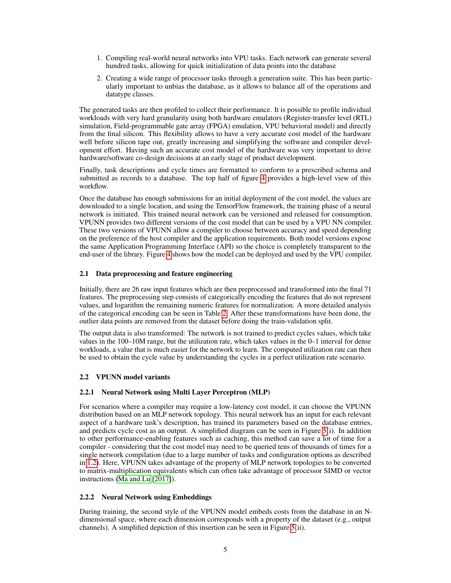- 1. Compiling real-world neural networks into VPU tasks. Each network can generate several hundred tasks, allowing for quick initialization of data points into the database
- 2. Creating a wide range of processor tasks through a generation suite. This has been particularly important to unbias the database, as it allows to balance all of the operations and datatype classes.

The generated tasks are then profiled to collect their performance. It is possible to profile individual workloads with very hard granularity using both hardware emulators (Register-transfer level (RTL) simulation, Field-programmable gate array (FPGA) emulation, VPU behavioral model) and directly from the final silicon. This flexibility allows to have a very accurate cost model of the hardware well before silicon tape out, greatly increasing and simplifying the software and compiler development effort. Having such an accurate cost model of the hardware was very important to drive hardware/software co-design decisions at an early stage of product development.

Finally, task descriptions and cycle times are formatted to conform to a prescribed schema and submitted as records to a database. The top half of figure [4](#page-3-1) provides a high-level view of this workflow.

Once the database has enough submissions for an initial deployment of the cost model, the values are downloaded to a single location, and using the TensorFlow framework, the training phase of a neural network is initiated. This trained neural network can be versioned and released for consumption. VPUNN provides two different versions of the cost model that can be used by a VPU NN compiler. These two versions of VPUNN allow a compiler to choose between accuracy and speed depending on the preference of the host compiler and the application requirements. Both model versions expose the same Application Programming Interface (API) so the choice is completely transparent to the end-user of the library. Figure [4](#page-3-1) shows how the model can be deployed and used by the VPU compiler.

#### 2.1 Data preprocessing and feature engineering

Initially, there are 26 raw input features which are then preprocessed and transformed into the final 71 features. The preprocessing step consists of categorically encoding the features that do not represent values, and logarithm the remaining numeric features for normalization. A more detailed analysis of the categorical encoding can be seen in Table [2.](#page-10-0) After these transformations have been done, the outlier data points are removed from the dataset before doing the train-validation split.

The output data is also transformed: The network is not trained to predict cycles values, which take values in the 100–10M range, but the utilization rate, which takes values in the 0–1 interval for dense workloads, a value that is much easier for the network to learn. The computed utilization rate can then be used to obtain the cycle value by understanding the cycles in a perfect utilization rate scenario.

## 2.2 VPUNN model variants

## 2.2.1 Neural Network using Multi Layer Perceptron (MLP)

For scenarios where a compiler may require a low-latency cost model, it can choose the VPUNN distribution based on an MLP network topology. This neural network has an input for each relevant aspect of a hardware task's description, has trained its parameters based on the database entries, and predicts cycle cost as an output. A simplified diagram can be seen in Figure [5\(](#page-5-0)i). In addition to other performance-enabling features such as caching, this method can save a lot of time for a compiler - considering that the cost model may need to be queried tens of thousands of times for a single network compilation (due to a large number of tasks and configuration options as described in [1.2\)](#page-1-2). Here, VPUNN takes advantage of the property of MLP network topologies to be converted to matrix-multiplication equivalents which can often take advantage of processor SIMD or vector instructions [\(Ma and Lu](#page-9-3) [\[2017\]](#page-9-3)).

#### 2.2.2 Neural Network using Embeddings

During training, the second style of the VPUNN model embeds costs from the database in an Ndimensional space, where each dimension corresponds with a property of the dataset (e.g., output channels). A simplified depiction of this insertion can be seen in Figure [5\(](#page-5-0)ii).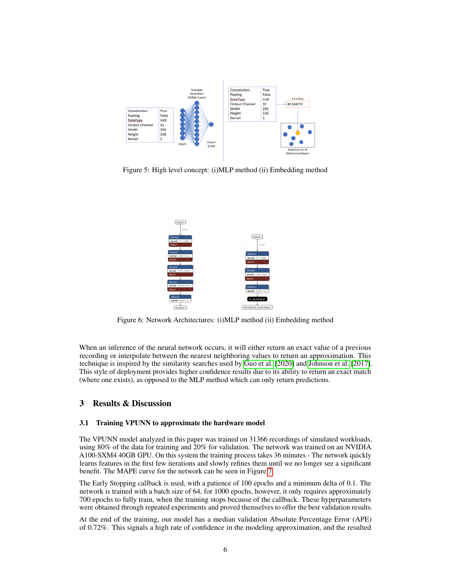<span id="page-5-0"></span>

Figure 5: High level concept: (i)MLP method (ii) Embedding method



Figure 6: Network Architectures: (i)MLP method (ii) Embedding method

When an inference of the neural network occurs, it will either return an exact value of a previous recording or interpolate between the nearest neighboring values to return an approximation. This technique is inspired by the similarity searches used by [Guo et al.](#page-8-2) [\[2020\]](#page-8-2) and [Johnson et al.](#page-9-4) [\[2017\]](#page-9-4). This style of deployment provides higher confidence results due to its ability to return an exact match (where one exists), as opposed to the MLP method which can only return predictions.

# 3 Results & Discussion

#### 3.1 Training VPUNN to approximate the hardware model

The VPUNN model analyzed in this paper was trained on 31366 recordings of simulated workloads, using 80% of the data for training and 20% for validation. The network was trained on an NVIDIA A100-SXM4 40GB GPU. On this system the training process takes 36 minutes - The network quickly learns features in the first few iterations and slowly refines them until we no longer see a significant benefit. The MAPE curve for the network can be seen in Figure [7.](#page-6-0)

The Early Stopping callback is used, with a patience of 100 epochs and a minimum delta of 0.1. The network is trained with a batch size of 64, for 1000 epochs, however, it only requires approximately 700 epochs to fully train, when the training stops because of the callback. These hyperparameters were obtained through repeated experiments and proved themselves to offer the best validation results.

At the end of the training, our model has a median validation Absolute Percentage Error (APE) of 0.72%. This signals a high rate of confidence in the modeling approximation, and the resulted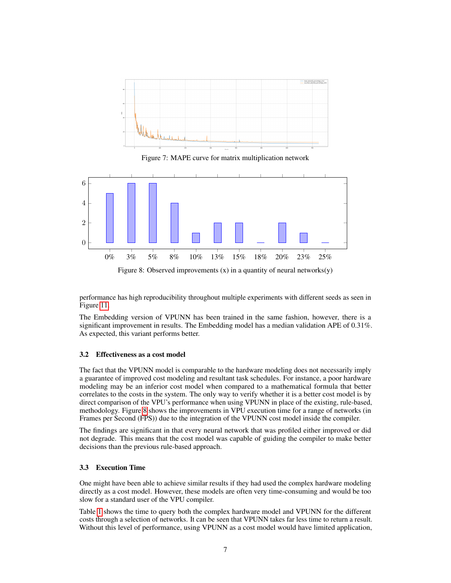<span id="page-6-0"></span>

Figure 7: MAPE curve for matrix multiplication network

<span id="page-6-1"></span>

Figure 8: Observed improvements  $(x)$  in a quantity of neural networks $(y)$ 

performance has high reproducibility throughout multiple experiments with different seeds as seen in Figure [11.](#page-10-1)

The Embedding version of VPUNN has been trained in the same fashion, however, there is a significant improvement in results. The Embedding model has a median validation APE of 0.31%. As expected, this variant performs better.

#### <span id="page-6-2"></span>3.2 Effectiveness as a cost model

The fact that the VPUNN model is comparable to the hardware modeling does not necessarily imply a guarantee of improved cost modeling and resultant task schedules. For instance, a poor hardware modeling may be an inferior cost model when compared to a mathematical formula that better correlates to the costs in the system. The only way to verify whether it is a better cost model is by direct comparison of the VPU's performance when using VPUNN in place of the existing, rule-based, methodology. Figure [8](#page-6-1) shows the improvements in VPU execution time for a range of networks (in Frames per Second (FPS)) due to the integration of the VPUNN cost model inside the compiler.

The findings are significant in that every neural network that was profiled either improved or did not degrade. This means that the cost model was capable of guiding the compiler to make better decisions than the previous rule-based approach.

#### <span id="page-6-3"></span>3.3 Execution Time

One might have been able to achieve similar results if they had used the complex hardware modeling directly as a cost model. However, these models are often very time-consuming and would be too slow for a standard user of the VPU compiler.

Table [1](#page-7-0) shows the time to query both the complex hardware model and VPUNN for the different costs through a selection of networks. It can be seen that VPUNN takes far less time to return a result. Without this level of performance, using VPUNN as a cost model would have limited application,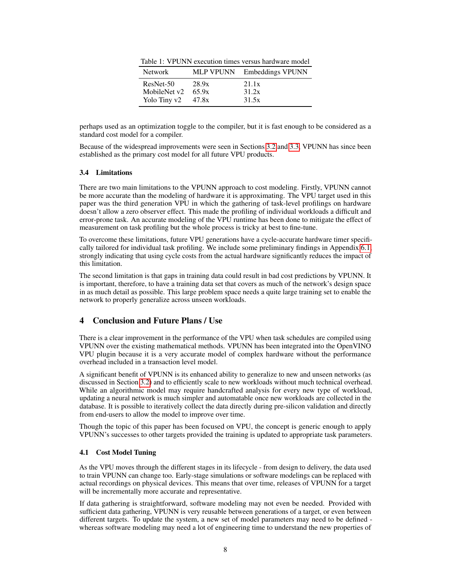<span id="page-7-0"></span>

|  |  |  | Table 1: VPUNN execution times versus hardware model |  |  |  |  |
|--|--|--|------------------------------------------------------|--|--|--|--|
|--|--|--|------------------------------------------------------|--|--|--|--|

| <b>Network</b> | MLP VPUNN | <b>Embeddings VPUNN</b> |
|----------------|-----------|-------------------------|
| $ResNet-50$    | 28.9x     | 21.1x                   |
| MobileNet v2   | 65.9x     | 31.2x                   |
| Yolo Tiny v2   | 47.8x     | 31.5x                   |

perhaps used as an optimization toggle to the compiler, but it is fast enough to be considered as a standard cost model for a compiler.

Because of the widespread improvements were seen in Sections [3.2](#page-6-2) and [3.3,](#page-6-3) VPUNN has since been established as the primary cost model for all future VPU products.

#### <span id="page-7-1"></span>3.4 Limitations

There are two main limitations to the VPUNN approach to cost modeling. Firstly, VPUNN cannot be more accurate than the modeling of hardware it is approximating. The VPU target used in this paper was the third generation VPU in which the gathering of task-level profilings on hardware doesn't allow a zero observer effect. This made the profiling of individual workloads a difficult and error-prone task. An accurate modeling of the VPU runtime has been done to mitigate the effect of measurement on task profiling but the whole process is tricky at best to fine-tune.

To overcome these limitations, future VPU generations have a cycle-accurate hardware timer specifically tailored for individual task profiling. We include some preliminary findings in Appendix [6.1,](#page-9-5) strongly indicating that using cycle costs from the actual hardware significantly reduces the impact of this limitation.

The second limitation is that gaps in training data could result in bad cost predictions by VPUNN. It is important, therefore, to have a training data set that covers as much of the network's design space in as much detail as possible. This large problem space needs a quite large training set to enable the network to properly generalize across unseen workloads.

# 4 Conclusion and Future Plans / Use

There is a clear improvement in the performance of the VPU when task schedules are compiled using VPUNN over the existing mathematical methods. VPUNN has been integrated into the OpenVINO VPU plugin because it is a very accurate model of complex hardware without the performance overhead included in a transaction level model.

A significant benefit of VPUNN is its enhanced ability to generalize to new and unseen networks (as discussed in Section [3.2\)](#page-6-2) and to efficiently scale to new workloads without much technical overhead. While an algorithmic model may require handcrafted analysis for every new type of workload, updating a neural network is much simpler and automatable once new workloads are collected in the database. It is possible to iteratively collect the data directly during pre-silicon validation and directly from end-users to allow the model to improve over time.

Though the topic of this paper has been focused on VPU, the concept is generic enough to apply VPUNN's successes to other targets provided the training is updated to appropriate task parameters.

#### 4.1 Cost Model Tuning

As the VPU moves through the different stages in its lifecycle - from design to delivery, the data used to train VPUNN can change too. Early-stage simulations or software modelings can be replaced with actual recordings on physical devices. This means that over time, releases of VPUNN for a target will be incrementally more accurate and representative.

If data gathering is straightforward, software modeling may not even be needed. Provided with sufficient data gathering, VPUNN is very reusable between generations of a target, or even between different targets. To update the system, a new set of model parameters may need to be defined whereas software modeling may need a lot of engineering time to understand the new properties of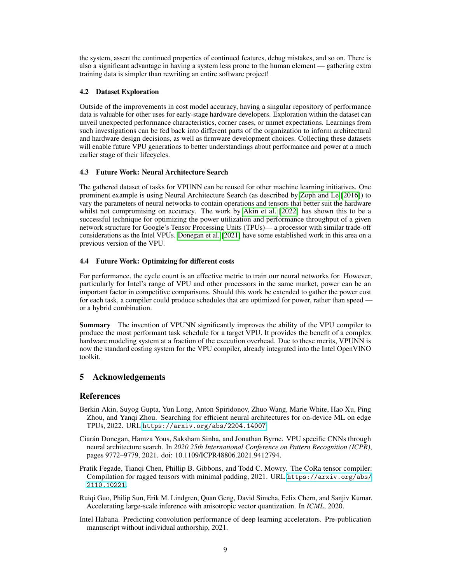the system, assert the continued properties of continued features, debug mistakes, and so on. There is also a significant advantage in having a system less prone to the human element — gathering extra training data is simpler than rewriting an entire software project!

## 4.2 Dataset Exploration

Outside of the improvements in cost model accuracy, having a singular repository of performance data is valuable for other uses for early-stage hardware developers. Exploration within the dataset can unveil unexpected performance characteristics, corner cases, or unmet expectations. Learnings from such investigations can be fed back into different parts of the organization to inform architectural and hardware design decisions, as well as firmware development choices. Collecting these datasets will enable future VPU generations to better understandings about performance and power at a much earlier stage of their lifecycles.

# 4.3 Future Work: Neural Architecture Search

The gathered dataset of tasks for VPUNN can be reused for other machine learning initiatives. One prominent example is using Neural Architecture Search (as described by [Zoph and Le](#page-9-6) [\[2016\]](#page-9-6)) to vary the parameters of neural networks to contain operations and tensors that better suit the hardware whilst not compromising on accuracy. The work by [Akin et al.](#page-8-3) [\[2022\]](#page-8-3) has shown this to be a successful technique for optimizing the power utilization and performance throughput of a given network structure for Google's Tensor Processing Units (TPUs)— a processor with similar trade-off considerations as the Intel VPUs. [Donegan et al.](#page-8-4) [\[2021\]](#page-8-4) have some established work in this area on a previous version of the VPU.

# 4.4 Future Work: Optimizing for different costs

For performance, the cycle count is an effective metric to train our neural networks for. However, particularly for Intel's range of VPU and other processors in the same market, power can be an important factor in competitive comparisons. Should this work be extended to gather the power cost for each task, a compiler could produce schedules that are optimized for power, rather than speed or a hybrid combination.

Summary The invention of VPUNN significantly improves the ability of the VPU compiler to produce the most performant task schedule for a target VPU. It provides the benefit of a complex hardware modeling system at a fraction of the execution overhead. Due to these merits, VPUNN is now the standard costing system for the VPU compiler, already integrated into the Intel OpenVINO toolkit.

# 5 Acknowledgements

# References

- <span id="page-8-3"></span>Berkin Akin, Suyog Gupta, Yun Long, Anton Spiridonov, Zhuo Wang, Marie White, Hao Xu, Ping Zhou, and Yanqi Zhou. Searching for efficient neural architectures for on-device ML on edge TPUs, 2022. URL <https://arxiv.org/abs/2204.14007>.
- <span id="page-8-4"></span>Ciarán Donegan, Hamza Yous, Saksham Sinha, and Jonathan Byrne. VPU specific CNNs through neural architecture search. In *2020 25th International Conference on Pattern Recognition (ICPR)*, pages 9772–9779, 2021. doi: 10.1109/ICPR48806.2021.9412794.
- <span id="page-8-0"></span>Pratik Fegade, Tianqi Chen, Phillip B. Gibbons, and Todd C. Mowry. The CoRa tensor compiler: Compilation for ragged tensors with minimal padding, 2021. URL [https://arxiv.org/abs/](https://arxiv.org/abs/2110.10221) [2110.10221](https://arxiv.org/abs/2110.10221).
- <span id="page-8-2"></span>Ruiqi Guo, Philip Sun, Erik M. Lindgren, Quan Geng, David Simcha, Felix Chern, and Sanjiv Kumar. Accelerating large-scale inference with anisotropic vector quantization. In *ICML*, 2020.
- <span id="page-8-1"></span>Intel Habana. Predicting convolution performance of deep learning accelerators. Pre-publication manuscript without individual authorship, 2021.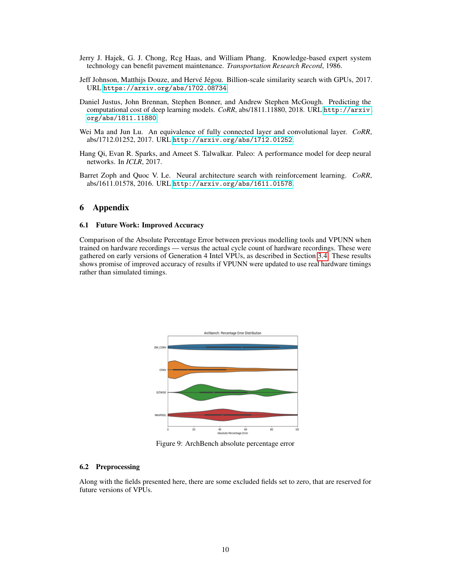- <span id="page-9-0"></span>Jerry J. Hajek, G. J. Chong, Rcg Haas, and William Phang. Knowledge-based expert system technology can benefit pavement maintenance. *Transportation Research Record*, 1986.
- <span id="page-9-4"></span>Jeff Johnson, Matthijs Douze, and Hervé Jégou. Billion-scale similarity search with GPUs, 2017. URL <https://arxiv.org/abs/1702.08734>.
- <span id="page-9-2"></span>Daniel Justus, John Brennan, Stephen Bonner, and Andrew Stephen McGough. Predicting the computational cost of deep learning models. *CoRR*, abs/1811.11880, 2018. URL [http://arxiv.](http://arxiv.org/abs/1811.11880) [org/abs/1811.11880](http://arxiv.org/abs/1811.11880).
- <span id="page-9-3"></span>Wei Ma and Jun Lu. An equivalence of fully connected layer and convolutional layer. *CoRR*, abs/1712.01252, 2017. URL <http://arxiv.org/abs/1712.01252>.
- <span id="page-9-1"></span>Hang Qi, Evan R. Sparks, and Ameet S. Talwalkar. Paleo: A performance model for deep neural networks. In *ICLR*, 2017.
- <span id="page-9-6"></span>Barret Zoph and Quoc V. Le. Neural architecture search with reinforcement learning. *CoRR*, abs/1611.01578, 2016. URL <http://arxiv.org/abs/1611.01578>.

# 6 Appendix

#### <span id="page-9-5"></span>6.1 Future Work: Improved Accuracy

Comparison of the Absolute Percentage Error between previous modelling tools and VPUNN when trained on hardware recordings — versus the actual cycle count of hardware recordings. These were gathered on early versions of Generation 4 Intel VPUs, as described in Section [3.4.](#page-7-1) These results shows promise of improved accuracy of results if VPUNN were updated to use real hardware timings rather than simulated timings.



Figure 9: ArchBench absolute percentage error

#### 6.2 Preprocessing

Along with the fields presented here, there are some excluded fields set to zero, that are reserved for future versions of VPUs.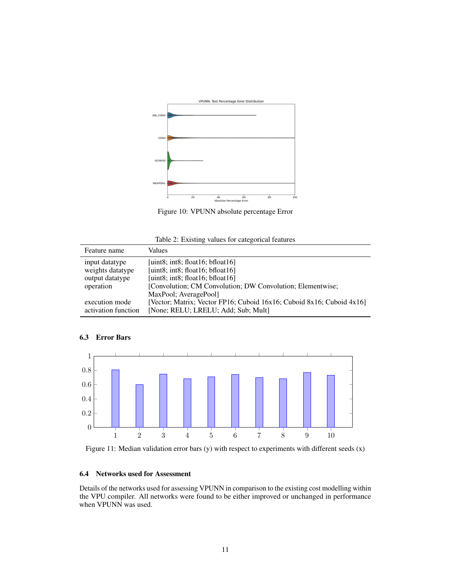

Figure 10: VPUNN absolute percentage Error

<span id="page-10-0"></span>

| Feature name        | Values                                                                              |
|---------------------|-------------------------------------------------------------------------------------|
| input datatype      | [uint8; int8; float16; bfloat16]                                                    |
| weights datatype    | [uint8; int8; float16; bfloat16]                                                    |
| output datatype     | [uint8; int8; float16; bfloat16]                                                    |
| operation           | [Convolution; CM Convolution; DW Convolution; Elementwise;<br>MaxPool; AveragePool] |
| execution mode      | [Vector; Matrix; Vector FP16; Cuboid 16x16; Cuboid 8x16; Cuboid 4x16]               |
| activation function | [None; RELU; LRELU; Add; Sub; Mult]                                                 |

# 6.3 Error Bars

<span id="page-10-1"></span>

Figure 11: Median validation error bars (y) with respect to experiments with different seeds (x)

# 6.4 Networks used for Assessment

Details of the networks used for assessing VPUNN in comparison to the existing cost modelling within the VPU compiler. All networks were found to be either improved or unchanged in performance when VPUNN was used.